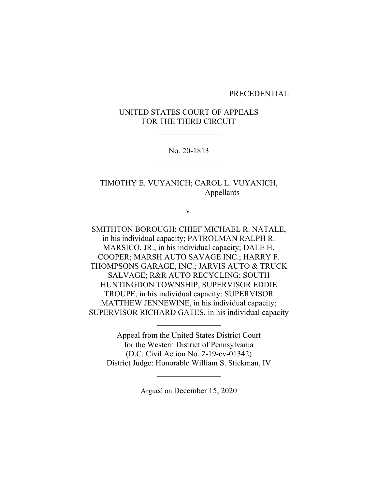#### PRECEDENTIAL

# UNITED STATES COURT OF APPEALS FOR THE THIRD CIRCUIT

# No. 20-1813  $\mathcal{L}_\text{max}$

TIMOTHY E. VUYANICH; CAROL L. VUYANICH, Appellants

v.

SMITHTON BOROUGH; CHIEF MICHAEL R. NATALE, in his individual capacity; PATROLMAN RALPH R. MARSICO, JR., in his individual capacity; DALE H. COOPER; MARSH AUTO SAVAGE INC.; HARRY F. THOMPSONS GARAGE, INC.; JARVIS AUTO & TRUCK SALVAGE; R&R AUTO RECYCLING; SOUTH HUNTINGDON TOWNSHIP; SUPERVISOR EDDIE TROUPE, in his individual capacity; SUPERVISOR MATTHEW JENNEWINE, in his individual capacity; SUPERVISOR RICHARD GATES, in his individual capacity

Appeal from the United States District Court for the Western District of Pennsylvania (D.C. Civil Action No. 2-19-cv-01342) District Judge: Honorable William S. Stickman, IV

Argued on December 15, 2020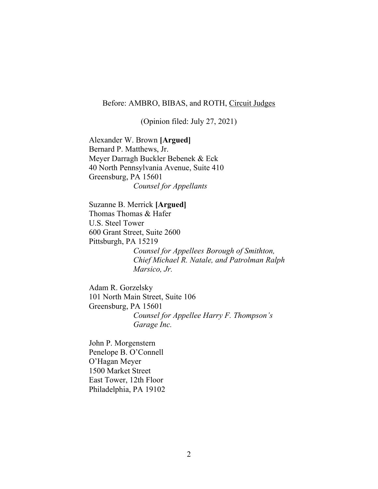### Before: AMBRO, BIBAS, and ROTH, Circuit Judges

(Opinion filed: July 27, 2021)

Alexander W. Brown **[Argued]** Bernard P. Matthews, Jr. Meyer Darragh Buckler Bebenek & Eck 40 North Pennsylvania Avenue, Suite 410 Greensburg, PA 15601 *Counsel for Appellants*

Suzanne B. Merrick **[Argued]** Thomas Thomas & Hafer U.S. Steel Tower 600 Grant Street, Suite 2600 Pittsburgh, PA 15219 *Counsel for Appellees Borough of Smithton, Chief Michael R. Natale, and Patrolman Ralph Marsico, Jr.*

Adam R. Gorzelsky 101 North Main Street, Suite 106 Greensburg, PA 15601 *Counsel for Appellee Harry F. Thompson's Garage Inc.*

John P. Morgenstern Penelope B. O'Connell O'Hagan Meyer 1500 Market Street East Tower, 12th Floor Philadelphia, PA 19102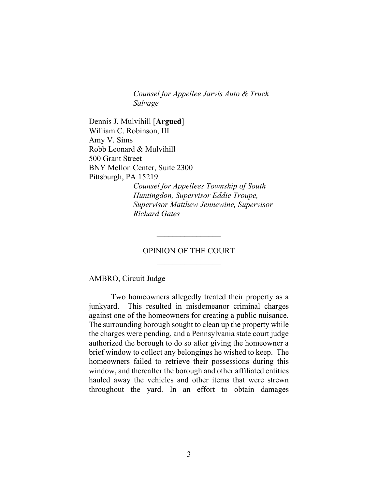*Counsel for Appellee Jarvis Auto & Truck Salvage*

Dennis J. Mulvihill [**Argued**] William C. Robinson, III Amy V. Sims Robb Leonard & Mulvihill 500 Grant Street BNY Mellon Center, Suite 2300 Pittsburgh, PA 15219

*Counsel for Appellees Township of South Huntingdon, Supervisor Eddie Troupe, Supervisor Matthew Jennewine, Supervisor Richard Gates*

### OPINION OF THE COURT

 $\mathcal{L}_\text{max}$ 

### AMBRO, Circuit Judge

Two homeowners allegedly treated their property as a junkyard. This resulted in misdemeanor criminal charges against one of the homeowners for creating a public nuisance. The surrounding borough sought to clean up the property while the charges were pending, and a Pennsylvania state court judge authorized the borough to do so after giving the homeowner a brief window to collect any belongings he wished to keep. The homeowners failed to retrieve their possessions during this window, and thereafter the borough and other affiliated entities hauled away the vehicles and other items that were strewn throughout the yard. In an effort to obtain damages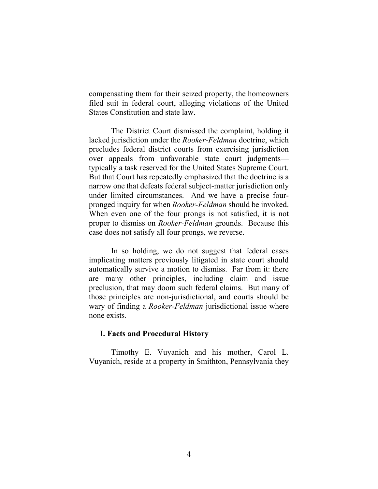compensating them for their seized property, the homeowners filed suit in federal court, alleging violations of the United States Constitution and state law.

The District Court dismissed the complaint, holding it lacked jurisdiction under the *Rooker-Feldman* doctrine, which precludes federal district courts from exercising jurisdiction over appeals from unfavorable state court judgments typically a task reserved for the United States Supreme Court. But that Court has repeatedly emphasized that the doctrine is a narrow one that defeats federal subject-matter jurisdiction only under limited circumstances. And we have a precise fourpronged inquiry for when *Rooker-Feldman* should be invoked. When even one of the four prongs is not satisfied, it is not proper to dismiss on *Rooker-Feldman* grounds. Because this case does not satisfy all four prongs, we reverse.

In so holding, we do not suggest that federal cases implicating matters previously litigated in state court should automatically survive a motion to dismiss. Far from it: there are many other principles, including claim and issue preclusion, that may doom such federal claims. But many of those principles are non-jurisdictional, and courts should be wary of finding a *Rooker-Feldman* jurisdictional issue where none exists.

#### **I. Facts and Procedural History**

Timothy E. Vuyanich and his mother, Carol L. Vuyanich, reside at a property in Smithton, Pennsylvania they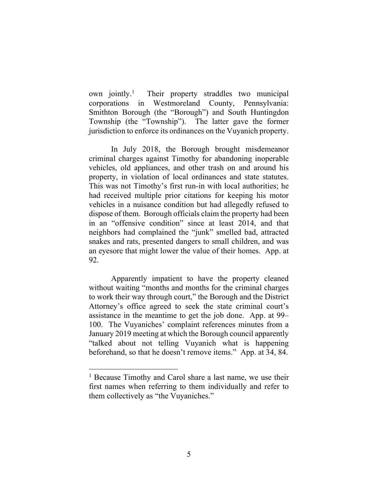own jointly. 1 Their property straddles two municipal corporations in Westmoreland County, Pennsylvania: Smithton Borough (the "Borough") and South Huntingdon Township (the "Township"). The latter gave the former jurisdiction to enforce its ordinances on the Vuyanich property.

In July 2018, the Borough brought misdemeanor criminal charges against Timothy for abandoning inoperable vehicles, old appliances, and other trash on and around his property, in violation of local ordinances and state statutes. This was not Timothy's first run-in with local authorities; he had received multiple prior citations for keeping his motor vehicles in a nuisance condition but had allegedly refused to dispose of them. Borough officials claim the property had been in an "offensive condition" since at least 2014, and that neighbors had complained the "junk" smelled bad, attracted snakes and rats, presented dangers to small children, and was an eyesore that might lower the value of their homes. App. at 92.

Apparently impatient to have the property cleaned without waiting "months and months for the criminal charges to work their way through court," the Borough and the District Attorney's office agreed to seek the state criminal court's assistance in the meantime to get the job done. App. at 99– 100. The Vuyaniches' complaint references minutes from a January 2019 meeting at which the Borough council apparently "talked about not telling Vuyanich what is happening beforehand, so that he doesn't remove items." App. at 34, 84.

<sup>&</sup>lt;sup>1</sup> Because Timothy and Carol share a last name, we use their first names when referring to them individually and refer to them collectively as "the Vuyaniches."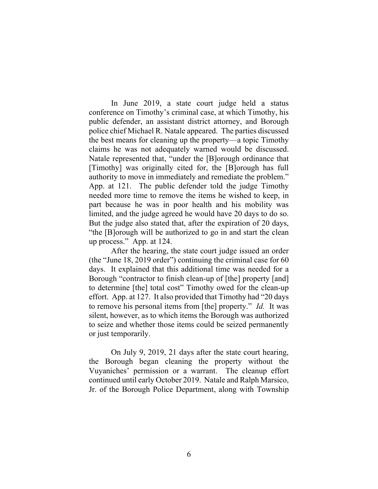In June 2019, a state court judge held a status conference on Timothy's criminal case, at which Timothy, his public defender, an assistant district attorney, and Borough police chief Michael R. Natale appeared. The parties discussed the best means for cleaning up the property—a topic Timothy claims he was not adequately warned would be discussed. Natale represented that, "under the [B]orough ordinance that [Timothy] was originally cited for, the [B]orough has full authority to move in immediately and remediate the problem." App. at 121. The public defender told the judge Timothy needed more time to remove the items he wished to keep, in part because he was in poor health and his mobility was limited, and the judge agreed he would have 20 days to do so. But the judge also stated that, after the expiration of 20 days, "the [B]orough will be authorized to go in and start the clean up process." App. at 124.

After the hearing, the state court judge issued an order (the "June 18, 2019 order") continuing the criminal case for 60 days. It explained that this additional time was needed for a Borough "contractor to finish clean-up of [the] property [and] to determine [the] total cost" Timothy owed for the clean-up effort. App. at 127. It also provided that Timothy had "20 days to remove his personal items from [the] property." *Id.* It was silent, however, as to which items the Borough was authorized to seize and whether those items could be seized permanently or just temporarily.

On July 9, 2019, 21 days after the state court hearing, the Borough began cleaning the property without the Vuyaniches' permission or a warrant. The cleanup effort continued until early October 2019. Natale and Ralph Marsico, Jr. of the Borough Police Department, along with Township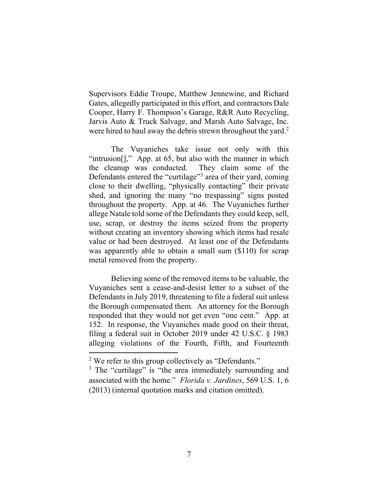Supervisors Eddie Troupe, Matthew Jennewine, and Richard Gates, allegedly participated in this effort, and contractors Dale Cooper, Harry F. Thompson's Garage, R&R Auto Recycling, Jarvis Auto & Truck Salvage, and Marsh Auto Salvage, Inc. were hired to haul away the debris strewn throughout the yard.<sup>2</sup>

The Vuyaniches take issue not only with this "intrusion[]," App. at 65, but also with the manner in which the cleanup was conducted. They claim some of the Defendants entered the "curtilage"<sup>3</sup> area of their yard, coming close to their dwelling, "physically contacting" their private shed, and ignoring the many "no trespassing" signs posted throughout the property. App. at 46. The Vuyaniches further allege Natale told some of the Defendants they could keep, sell, use, scrap, or destroy the items seized from the property without creating an inventory showing which items had resale value or had been destroyed. At least one of the Defendants was apparently able to obtain a small sum (\$110) for scrap metal removed from the property.

Believing some of the removed items to be valuable, the Vuyaniches sent a cease-and-desist letter to a subset of the Defendants in July 2019, threatening to file a federal suit unless the Borough compensated them. An attorney for the Borough responded that they would not get even "one cent." App. at 152. In response, the Vuyaniches made good on their threat, filing a federal suit in October 2019 under 42 U.S.C. § 1983 alleging violations of the Fourth, Fifth, and Fourteenth

<sup>&</sup>lt;sup>2</sup> We refer to this group collectively as "Defendants."

<sup>&</sup>lt;sup>3</sup> The "curtilage" is "the area immediately surrounding and associated with the home." *Florida v. Jardines*, 569 U.S. 1, 6 (2013) (internal quotation marks and citation omitted).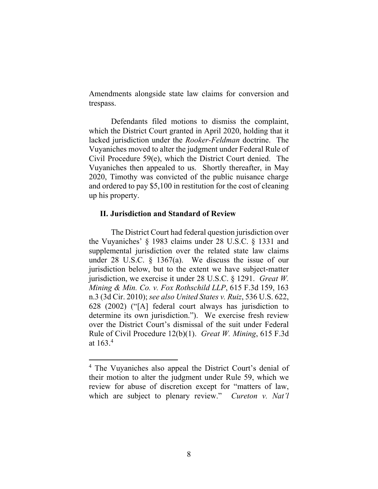Amendments alongside state law claims for conversion and trespass.

Defendants filed motions to dismiss the complaint, which the District Court granted in April 2020, holding that it lacked jurisdiction under the *Rooker-Feldman* doctrine. The Vuyaniches moved to alter the judgment under Federal Rule of Civil Procedure 59(e), which the District Court denied. The Vuyaniches then appealed to us. Shortly thereafter, in May 2020, Timothy was convicted of the public nuisance charge and ordered to pay \$5,100 in restitution for the cost of cleaning up his property.

### **II. Jurisdiction and Standard of Review**

The District Court had federal question jurisdiction over the Vuyaniches' § 1983 claims under 28 U.S.C. § 1331 and supplemental jurisdiction over the related state law claims under 28 U.S.C.  $\S$  1367(a). We discuss the issue of our jurisdiction below, but to the extent we have subject-matter jurisdiction, we exercise it under 28 U.S.C. § 1291. *Great W. Mining & Min. Co. v. Fox Rothschild LLP*, 615 F.3d 159, 163 n.3 (3d Cir. 2010); *see also United States v. Ruiz*, 536 U.S. 622, 628 (2002) ("[A] federal court always has jurisdiction to determine its own jurisdiction."). We exercise fresh review over the District Court's dismissal of the suit under Federal Rule of Civil Procedure 12(b)(1). *Great W. Mining*, 615 F.3d at  $163.4$ 

<sup>4</sup> The Vuyaniches also appeal the District Court's denial of their motion to alter the judgment under Rule 59, which we review for abuse of discretion except for "matters of law, which are subject to plenary review." *Cureton v. Nat'l*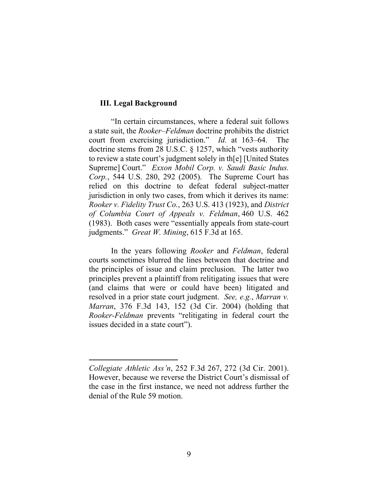# **III. Legal Background**

"In certain circumstances, where a federal suit follows a state suit, the *Rooker–Feldman* doctrine prohibits the district court from exercising jurisdiction." *Id.* at 163–64. doctrine stems from 28 U.S.C. § 1257, which "vests authority to review a state court's judgment solely in th[e] [United States Supreme] Court." *Exxon Mobil Corp. v. Saudi Basic Indus. Corp.*, 544 U.S. 280, 292 (2005). The Supreme Court has relied on this doctrine to defeat federal subject-matter jurisdiction in only two cases, from which it derives its name: *Rooker v. Fidelity Trust Co.*, 263 U.S. 413 (1923), and *District of Columbia Court of Appeals v. Feldman*, 460 U.S. 462 (1983). Both cases were "essentially appeals from state-court judgments." *Great W. Mining*, 615 F.3d at 165.

In the years following *Rooker* and *Feldman*, federal courts sometimes blurred the lines between that doctrine and the principles of issue and claim preclusion. The latter two principles prevent a plaintiff from relitigating issues that were (and claims that were or could have been) litigated and resolved in a prior state court judgment. *See, e.g.*, *Marran v. Marran*, 376 F.3d 143, 152 (3d Cir. 2004) (holding that *Rooker-Feldman* prevents "relitigating in federal court the issues decided in a state court").

*Collegiate Athletic Ass'n*, 252 F.3d 267, 272 (3d Cir. 2001). However, because we reverse the District Court's dismissal of the case in the first instance, we need not address further the denial of the Rule 59 motion.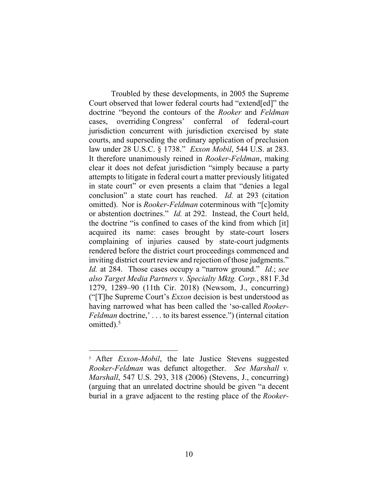Troubled by these developments, in 2005 the Supreme Court observed that lower federal courts had "extend[ed]" the doctrine "beyond the contours of the *Rooker* and *Feldman*  cases, overriding Congress' conferral of federal-court jurisdiction concurrent with jurisdiction exercised by state courts, and superseding the ordinary application of preclusion law under 28 U.S.C. § 1738." *Exxon Mobil*, 544 U.S. at 283. It therefore unanimously reined in *Rooker-Feldman*, making clear it does not defeat jurisdiction "simply because a party attempts to litigate in federal court a matter previously litigated in state court" or even presents a claim that "denies a legal conclusion" a state court has reached. *Id.* at 293 (citation omitted). Nor is *Rooker-Feldman* coterminous with "[c]omity or abstention doctrines." *Id.* at 292. Instead, the Court held, the doctrine "is confined to cases of the kind from which [it] acquired its name: cases brought by state-court losers complaining of injuries caused by state-court judgments rendered before the district court proceedings commenced and inviting district court review and rejection of those judgments." *Id.* at 284. Those cases occupy a "narrow ground." *Id.*; *see also Target Media Partners v. Specialty Mktg. Corp.*, 881 F.3d 1279, 1289–90 (11th Cir. 2018) (Newsom, J., concurring) ("[T]he Supreme Court's *Exxon* decision is best understood as having narrowed what has been called the 'so-called *Rooker-Feldman* doctrine,'... to its barest essence.") (internal citation omitted).<sup>5</sup>

<sup>5</sup> After *Exxon-Mobil*, the late Justice Stevens suggested *Rooker-Feldman* was defunct altogether. *See Marshall v. Marshall*, 547 U.S. 293, 318 (2006) (Stevens, J., concurring) (arguing that an unrelated doctrine should be given "a decent burial in a grave adjacent to the resting place of the *Rooker-*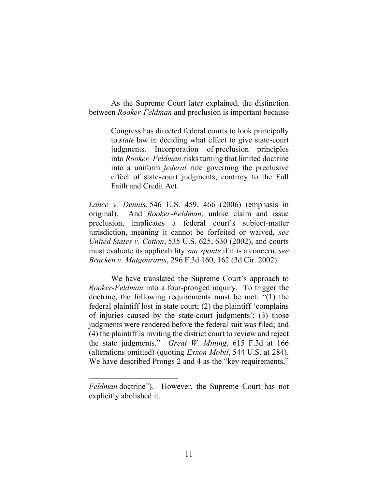As the Supreme Court later explained, the distinction between *Rooker-Feldman* and preclusion is important because

> Congress has directed federal courts to look principally to *state* law in deciding what effect to give state-court judgments. Incorporation of preclusion principles into *Rooker–Feldman* risks turning that limited doctrine into a uniform *federal* rule governing the preclusive effect of state-court judgments, contrary to the Full Faith and Credit Act.

*Lance v. Dennis*, 546 U.S. 459, 466 (2006) (emphasis in original). And *Rooker-Feldman*, unlike claim and issue preclusion, implicates a federal court's subject-matter jurisdiction, meaning it cannot be forfeited or waived, *see United States v. Cotton*, 535 U.S. 625, 630 (2002), and courts must evaluate its applicability *sua sponte* if it is a concern, *see Bracken v. Matgouranis*, 296 F.3d 160, 162 (3d Cir. 2002).

We have translated the Supreme Court's approach to *Rooker-Feldman* into a four-pronged inquiry. To trigger the doctrine, the following requirements must be met: "(1) the federal plaintiff lost in state court; (2) the plaintiff 'complains of injuries caused by the state-court judgments'; (3) those judgments were rendered before the federal suit was filed; and (4) the plaintiff is inviting the district court to review and reject the state judgments." *Great W. Mining*, 615 F.3d at 166 (alterations omitted) (quoting *Exxon Mobil*, 544 U.S. at 284). We have described Prongs 2 and 4 as the "key requirements,"

*Feldman* doctrine"). However, the Supreme Court has not explicitly abolished it.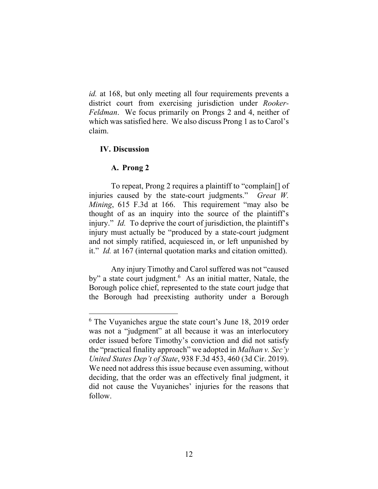*id.* at 168, but only meeting all four requirements prevents a district court from exercising jurisdiction under *Rooker-Feldman*. We focus primarily on Prongs 2 and 4, neither of which was satisfied here. We also discuss Prong 1 as to Carol's claim.

# **IV. Discussion**

# **A. Prong 2**

To repeat, Prong 2 requires a plaintiff to "complain[] of injuries caused by the state-court judgments." *Great W. Mining*, 615 F.3d at 166. This requirement "may also be thought of as an inquiry into the source of the plaintiff's injury." *Id.* To deprive the court of jurisdiction, the plaintiff's injury must actually be "produced by a state-court judgment and not simply ratified, acquiesced in, or left unpunished by it." *Id.* at 167 (internal quotation marks and citation omitted).

Any injury Timothy and Carol suffered was not "caused by" a state court judgment.<sup>6</sup> As an initial matter, Natale, the Borough police chief, represented to the state court judge that the Borough had preexisting authority under a Borough

<sup>&</sup>lt;sup>6</sup> The Vuyaniches argue the state court's June 18, 2019 order was not a "judgment" at all because it was an interlocutory order issued before Timothy's conviction and did not satisfy the "practical finality approach" we adopted in *Malhan v. Sec'y United States Dep't of State*, 938 F.3d 453, 460 (3d Cir. 2019). We need not address this issue because even assuming, without deciding, that the order was an effectively final judgment, it did not cause the Vuyaniches' injuries for the reasons that follow.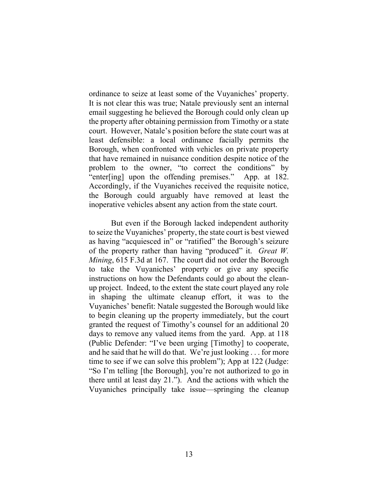ordinance to seize at least some of the Vuyaniches' property. It is not clear this was true; Natale previously sent an internal email suggesting he believed the Borough could only clean up the property after obtaining permission from Timothy or a state court. However, Natale's position before the state court was at least defensible: a local ordinance facially permits the Borough, when confronted with vehicles on private property that have remained in nuisance condition despite notice of the problem to the owner, "to correct the conditions" by "enter[ing] upon the offending premises." App. at 182. Accordingly, if the Vuyaniches received the requisite notice, the Borough could arguably have removed at least the inoperative vehicles absent any action from the state court.

But even if the Borough lacked independent authority to seize the Vuyaniches' property, the state court is best viewed as having "acquiesced in" or "ratified" the Borough's seizure of the property rather than having "produced" it. *Great W. Mining*, 615 F.3d at 167. The court did not order the Borough to take the Vuyaniches' property or give any specific instructions on how the Defendants could go about the cleanup project. Indeed, to the extent the state court played any role in shaping the ultimate cleanup effort, it was to the Vuyaniches' benefit: Natale suggested the Borough would like to begin cleaning up the property immediately, but the court granted the request of Timothy's counsel for an additional 20 days to remove any valued items from the yard. App. at 118 (Public Defender: "I've been urging [Timothy] to cooperate, and he said that he will do that. We're just looking . . . for more time to see if we can solve this problem"); App at 122 (Judge: "So I'm telling [the Borough], you're not authorized to go in there until at least day 21."). And the actions with which the Vuyaniches principally take issue—springing the cleanup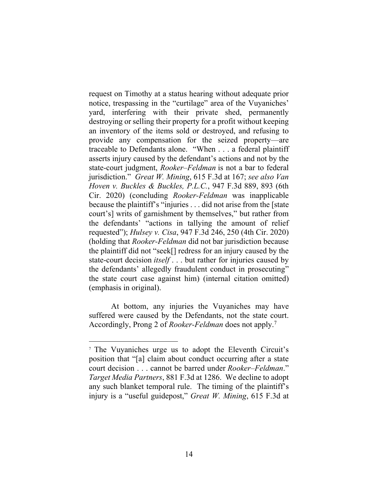request on Timothy at a status hearing without adequate prior notice, trespassing in the "curtilage" area of the Vuyaniches' yard, interfering with their private shed, permanently destroying or selling their property for a profit without keeping an inventory of the items sold or destroyed, and refusing to provide any compensation for the seized property—are traceable to Defendants alone. "When . . . a federal plaintiff asserts injury caused by the defendant's actions and not by the state-court judgment, *Rooker–Feldman* is not a bar to federal jurisdiction." *Great W. Mining*, 615 F.3d at 167; *see also Van Hoven v. Buckles & Buckles, P.L.C.*, 947 F.3d 889, 893 (6th Cir. 2020) (concluding *Rooker-Feldman* was inapplicable because the plaintiff's "injuries . . . did not arise from the [state court's] writs of garnishment by themselves," but rather from the defendants' "actions in tallying the amount of relief requested"); *Hulsey v. Cisa*, 947 F.3d 246, 250 (4th Cir. 2020) (holding that *Rooker-Feldman* did not bar jurisdiction because the plaintiff did not "seek[] redress for an injury caused by the state-court decision *itself* . . . but rather for injuries caused by the defendants' allegedly fraudulent conduct in prosecuting" the state court case against him) (internal citation omitted) (emphasis in original).

At bottom, any injuries the Vuyaniches may have suffered were caused by the Defendants, not the state court. Accordingly, Prong 2 of *Rooker-Feldman* does not apply.<sup>7</sup>

<sup>7</sup> The Vuyaniches urge us to adopt the Eleventh Circuit's position that "[a] claim about conduct occurring after a state court decision . . . cannot be barred under *Rooker–Feldman*." *Target Media Partners*, 881 F.3d at 1286. We decline to adopt any such blanket temporal rule. The timing of the plaintiff's injury is a "useful guidepost," *Great W. Mining*, 615 F.3d at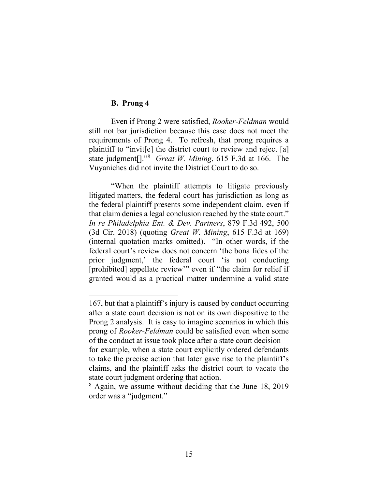# **B. Prong 4**

Even if Prong 2 were satisfied, *Rooker-Feldman* would still not bar jurisdiction because this case does not meet the requirements of Prong 4. To refresh, that prong requires a plaintiff to "invit[e] the district court to review and reject [a] state judgment[]." 8 *Great W. Mining*, 615 F.3d at 166. The Vuyaniches did not invite the District Court to do so.

"When the plaintiff attempts to litigate previously litigated matters, the federal court has jurisdiction as long as the federal plaintiff presents some independent claim, even if that claim denies a legal conclusion reached by the state court." *In re Philadelphia Ent. & Dev. Partners*, 879 F.3d 492, 500 (3d Cir. 2018) (quoting *Great W. Mining*, 615 F.3d at 169) (internal quotation marks omitted). "In other words, if the federal court's review does not concern 'the bona fides of the prior judgment,' the federal court 'is not conducting [prohibited] appellate review'" even if "the claim for relief if granted would as a practical matter undermine a valid state

<sup>167,</sup> but that a plaintiff's injury is caused by conduct occurring after a state court decision is not on its own dispositive to the Prong 2 analysis. It is easy to imagine scenarios in which this prong of *Rooker-Feldman* could be satisfied even when some of the conduct at issue took place after a state court decision for example, when a state court explicitly ordered defendants to take the precise action that later gave rise to the plaintiff's claims, and the plaintiff asks the district court to vacate the state court judgment ordering that action.

<sup>&</sup>lt;sup>8</sup> Again, we assume without deciding that the June 18, 2019 order was a "judgment."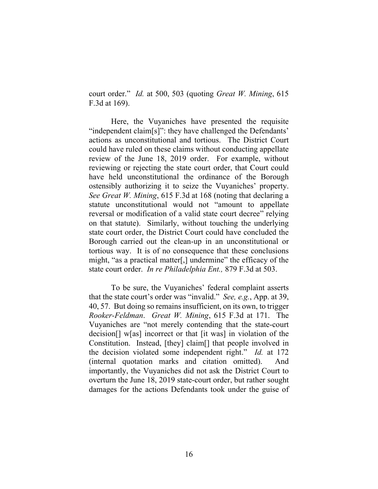court order." *Id.* at 500, 503 (quoting *Great W. Mining*, 615 F.3d at 169).

Here, the Vuyaniches have presented the requisite "independent claim[s]": they have challenged the Defendants' actions as unconstitutional and tortious. The District Court could have ruled on these claims without conducting appellate review of the June 18, 2019 order. For example, without reviewing or rejecting the state court order, that Court could have held unconstitutional the ordinance of the Borough ostensibly authorizing it to seize the Vuyaniches' property. *See Great W. Mining*, 615 F.3d at 168 (noting that declaring a statute unconstitutional would not "amount to appellate reversal or modification of a valid state court decree" relying on that statute). Similarly, without touching the underlying state court order, the District Court could have concluded the Borough carried out the clean-up in an unconstitutional or tortious way. It is of no consequence that these conclusions might, "as a practical matter[,] undermine" the efficacy of the state court order. *In re Philadelphia Ent.,* 879 F.3d at 503.

To be sure, the Vuyaniches' federal complaint asserts that the state court's order was "invalid." *See, e.g.*, App. at 39, 40, 57. But doing so remains insufficient, on its own, to trigger *Rooker-Feldman*. *Great W. Mining*, 615 F.3d at 171. The Vuyaniches are "not merely contending that the state-court decision[] w[as] incorrect or that [it was] in violation of the Constitution. Instead, [they] claim[] that people involved in the decision violated some independent right." *Id.* at 172 (internal quotation marks and citation omitted). And importantly, the Vuyaniches did not ask the District Court to overturn the June 18, 2019 state-court order, but rather sought damages for the actions Defendants took under the guise of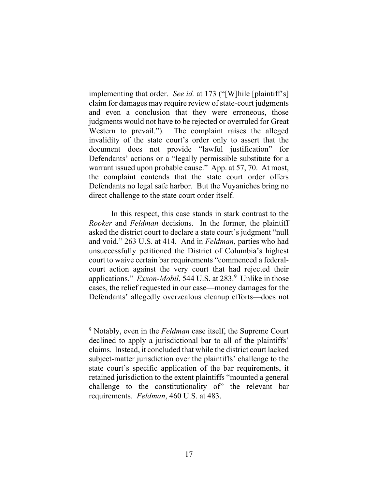implementing that order. *See id.* at 173 ("[W]hile [plaintiff's] claim for damages may require review of state-court judgments and even a conclusion that they were erroneous, those judgments would not have to be rejected or overruled for Great Western to prevail."). The complaint raises the alleged invalidity of the state court's order only to assert that the document does not provide "lawful justification" for Defendants' actions or a "legally permissible substitute for a warrant issued upon probable cause." App. at 57, 70. At most, the complaint contends that the state court order offers Defendants no legal safe harbor. But the Vuyaniches bring no direct challenge to the state court order itself.

In this respect, this case stands in stark contrast to the *Rooker* and *Feldman* decisions. In the former, the plaintiff asked the district court to declare a state court's judgment "null and void." 263 U.S. at 414. And in *Feldman*, parties who had unsuccessfully petitioned the District of Columbia's highest court to waive certain bar requirements "commenced a federalcourt action against the very court that had rejected their applications." *Exxon-Mobil*, 544 U.S. at 283.<sup>9</sup> Unlike in those cases, the relief requested in our case—money damages for the Defendants' allegedly overzealous cleanup efforts—does not

<sup>9</sup> Notably, even in the *Feldman* case itself, the Supreme Court declined to apply a jurisdictional bar to all of the plaintiffs' claims. Instead, it concluded that while the district court lacked subject-matter jurisdiction over the plaintiffs' challenge to the state court's specific application of the bar requirements, it retained jurisdiction to the extent plaintiffs "mounted a general challenge to the constitutionality of" the relevant bar requirements. *Feldman*, 460 U.S. at 483.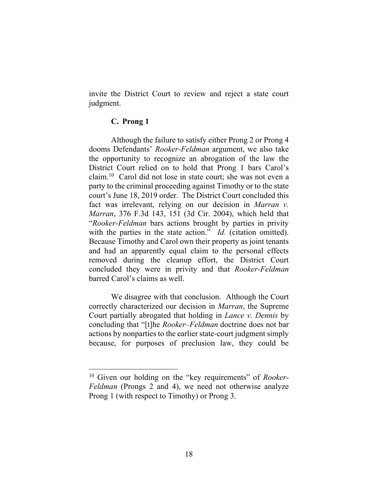invite the District Court to review and reject a state court judgment.

# **C. Prong 1**

Although the failure to satisfy either Prong 2 or Prong 4 dooms Defendants' *Rooker-Feldman* argument, we also take the opportunity to recognize an abrogation of the law the District Court relied on to hold that Prong 1 bars Carol's claim.<sup>10</sup> Carol did not lose in state court; she was not even a party to the criminal proceeding against Timothy or to the state court's June 18, 2019 order. The District Court concluded this fact was irrelevant, relying on our decision in *Marran v. Marran*, 376 F.3d 143, 151 (3d Cir. 2004), which held that "*Rooker-Feldman* bars actions brought by parties in privity with the parties in the state action." *Id.* (citation omitted). Because Timothy and Carol own their property as joint tenants and had an apparently equal claim to the personal effects removed during the cleanup effort, the District Court concluded they were in privity and that *Rooker-Feldman*  barred Carol's claims as well.

We disagree with that conclusion. Although the Court correctly characterized our decision in *Marran*, the Supreme Court partially abrogated that holding in *Lance v. Dennis* by concluding that "[t]he *Rooker–Feldman* doctrine does not bar actions by nonparties to the earlier state-court judgment simply because, for purposes of preclusion law, they could be

<sup>10</sup> Given our holding on the "key requirements" of *Rooker-Feldman* (Prongs 2 and 4), we need not otherwise analyze Prong 1 (with respect to Timothy) or Prong 3.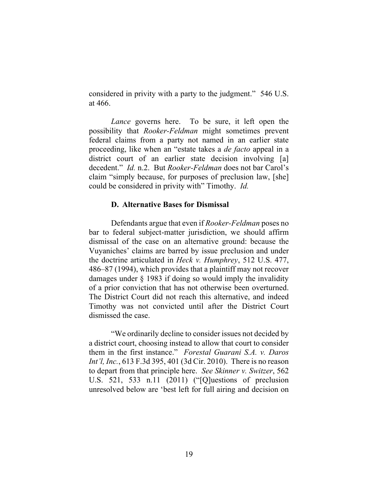considered in privity with a party to the judgment." 546 U.S. at 466.

*Lance* governs here. To be sure, it left open the possibility that *Rooker-Feldman* might sometimes prevent federal claims from a party not named in an earlier state proceeding, like when an "estate takes a *de facto* appeal in a district court of an earlier state decision involving [a] decedent." *Id.* n.2. But *Rooker-Feldman* does not bar Carol's claim "simply because, for purposes of preclusion law, [she] could be considered in privity with" Timothy. *Id.*

#### **D. Alternative Bases for Dismissal**

Defendants argue that even if *Rooker-Feldman* poses no bar to federal subject-matter jurisdiction, we should affirm dismissal of the case on an alternative ground: because the Vuyaniches' claims are barred by issue preclusion and under the doctrine articulated in *Heck v. Humphrey*, 512 U.S. 477, 486–87 (1994), which provides that a plaintiff may not recover damages under § 1983 if doing so would imply the invalidity of a prior conviction that has not otherwise been overturned. The District Court did not reach this alternative, and indeed Timothy was not convicted until after the District Court dismissed the case.

"We ordinarily decline to consider issues not decided by a district court, choosing instead to allow that court to consider them in the first instance." *Forestal Guarani S.A. v. Daros Int'l, Inc.*, 613 F.3d 395, 401 (3d Cir. 2010). There is no reason to depart from that principle here. *See Skinner v. Switzer*, 562 U.S. 521, 533 n.11 (2011) ("[Q]uestions of preclusion unresolved below are 'best left for full airing and decision on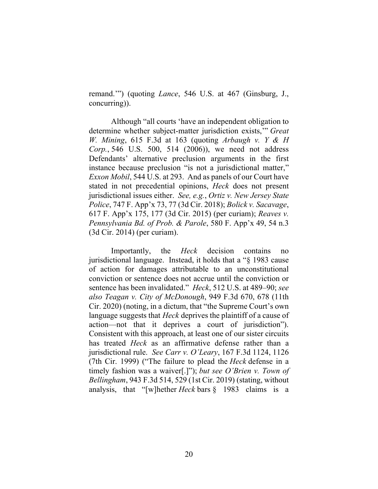remand.'") (quoting *Lance*, 546 U.S. at 467 (Ginsburg, J., concurring)).

Although "all courts 'have an independent obligation to determine whether subject-matter jurisdiction exists,'" *Great W. Mining*, 615 F.3d at 163 (quoting *Arbaugh v. Y & H Corp.*, 546 U.S. 500, 514 (2006)), we need not address Defendants' alternative preclusion arguments in the first instance because preclusion "is not a jurisdictional matter," *Exxon Mobil*, 544 U.S. at 293. And as panels of our Court have stated in not precedential opinions, *Heck* does not present jurisdictional issues either. *See, e.g.*, *Ortiz v. New Jersey State Police*, 747 F. App'x 73, 77 (3d Cir. 2018); *Bolick v. Sacavage*, 617 F. App'x 175, 177 (3d Cir. 2015) (per curiam); *Reaves v. Pennsylvania Bd. of Prob. & Parole*, 580 F. App'x 49, 54 n.3 (3d Cir. 2014) (per curiam).

Importantly, the *Heck* decision contains no jurisdictional language. Instead, it holds that a "§ 1983 cause of action for damages attributable to an unconstitutional conviction or sentence does not accrue until the conviction or sentence has been invalidated." *Heck*, 512 U.S. at 489–90; *see also Teagan v. City of McDonough*, 949 F.3d 670, 678 (11th Cir. 2020) (noting, in a dictum, that "the Supreme Court's own language suggests that *Heck* deprives the plaintiff of a cause of action—not that it deprives a court of jurisdiction"). Consistent with this approach, at least one of our sister circuits has treated *Heck* as an affirmative defense rather than a jurisdictional rule. *See Carr v. O'Leary*, 167 F.3d 1124, 1126 (7th Cir. 1999) ("The failure to plead the *Heck* defense in a timely fashion was a waiver[.]"); *but see O'Brien v. Town of Bellingham*, 943 F.3d 514, 529 (1st Cir. 2019) (stating, without analysis, that "[w]hether *Heck* bars § 1983 claims is a